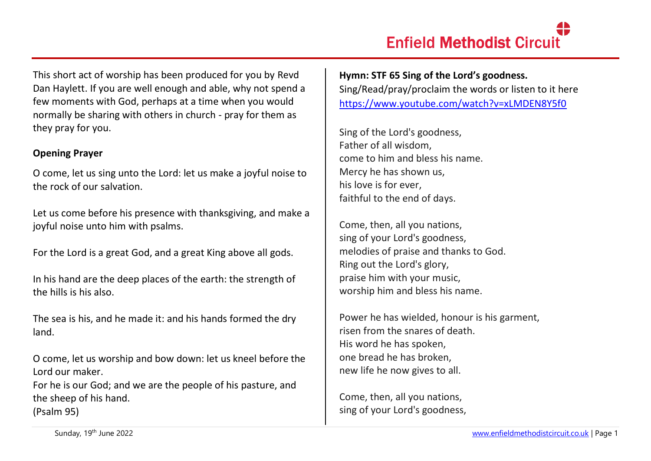This short act of worship has been produced for you by Revd Dan Haylett. If you are well enough and able, why not spend a few moments with God, perhaps at a time when you would normally be sharing with others in church - pray for them as they pray for you.

#### **Opening Prayer**

O come, let us sing unto the Lord: let us make a joyful noise to the rock of our salvation.

Let us come before his presence with thanksgiving, and make a joyful noise unto him with psalms.

For the Lord is a great God, and a great King above all gods.

In his hand are the deep places of the earth: the strength of the hills is his also.

The sea is his, and he made it: and his hands formed the dry land.

O come, let us worship and bow down: let us kneel before the Lord our maker.

For he is our God; and we are the people of his pasture, and the sheep of his hand. (Psalm 95)

**Hymn: STF 65 Sing of the Lord's goodness.** Sing/Read/pray/proclaim the words or listen to it here <https://www.youtube.com/watch?v=xLMDEN8Y5f0>

Sing of the Lord's goodness, Father of all wisdom, come to him and bless his name. Mercy he has shown us, his love is for ever, faithful to the end of days.

Come, then, all you nations, sing of your Lord's goodness, melodies of praise and thanks to God. Ring out the Lord's glory, praise him with your music, worship him and bless his name.

Power he has wielded, honour is his garment, risen from the snares of death. His word he has spoken, one bread he has broken, new life he now gives to all.

Come, then, all you nations, sing of your Lord's goodness,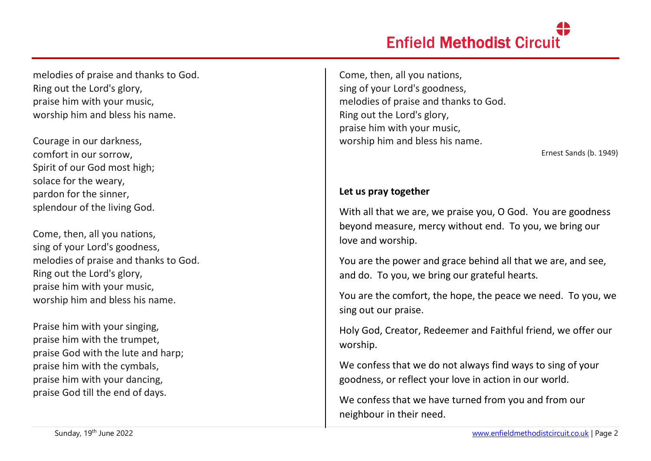# **Enfield Methodist Circuit**

melodies of praise and thanks to God. Ring out the Lord's glory, praise him with your music, worship him and bless his name.

Courage in our darkness, comfort in our sorrow, Spirit of our God most high; solace for the weary, pardon for the sinner, splendour of the living God.

Come, then, all you nations, sing of your Lord's goodness, melodies of praise and thanks to God. Ring out the Lord's glory, praise him with your music, worship him and bless his name.

Praise him with your singing, praise him with the trumpet, praise God with the lute and harp; praise him with the cymbals, praise him with your dancing, praise God till the end of days.

Come, then, all you nations, sing of your Lord's goodness, melodies of praise and thanks to God. Ring out the Lord's glory, praise him with your music, worship him and bless his name.

Ernest Sands (b. 1949)

# **Let us pray together**

With all that we are, we praise you, O God. You are goodness beyond measure, mercy without end. To you, we bring our love and worship.

You are the power and grace behind all that we are, and see, and do. To you, we bring our grateful hearts.

You are the comfort, the hope, the peace we need. To you, we sing out our praise.

Holy God, Creator, Redeemer and Faithful friend, we offer our worship.

We confess that we do not always find ways to sing of your goodness, or reflect your love in action in our world.

We confess that we have turned from you and from our neighbour in their need.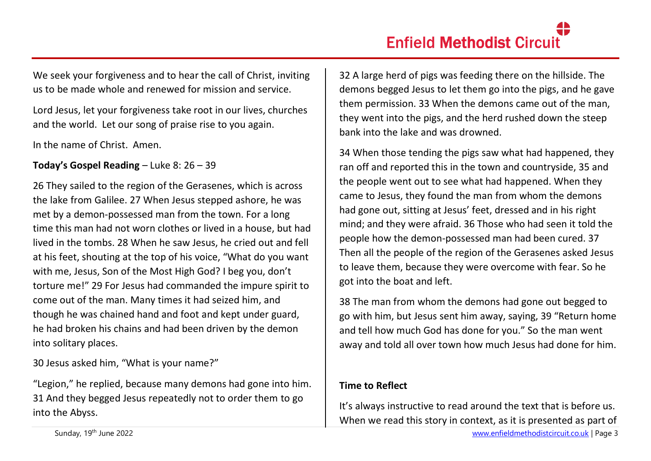We seek your forgiveness and to hear the call of Christ, inviting us to be made whole and renewed for mission and service.

Lord Jesus, let your forgiveness take root in our lives, churches and the world. Let our song of praise rise to you again.

In the name of Christ. Amen.

**Today's Gospel Reading** – Luke 8: 26 – 39

26 They sailed to the region of the Gerasenes, which is across the lake from Galilee. 27 When Jesus stepped ashore, he was met by a demon-possessed man from the town. For a long time this man had not worn clothes or lived in a house, but had lived in the tombs. 28 When he saw Jesus, he cried out and fell at his feet, shouting at the top of his voice, "What do you want with me, Jesus, Son of the Most High God? I beg you, don't torture me!" 29 For Jesus had commanded the impure spirit to come out of the man. Many times it had seized him, and though he was chained hand and foot and kept under guard, he had broken his chains and had been driven by the demon into solitary places.

30 Jesus asked him, "What is your name?"

"Legion," he replied, because many demons had gone into him. 31 And they begged Jesus repeatedly not to order them to go into the Abyss.

32 A large herd of pigs was feeding there on the hillside. The demons begged Jesus to let them go into the pigs, and he gave them permission. 33 When the demons came out of the man, they went into the pigs, and the herd rushed down the steep bank into the lake and was drowned.

34 When those tending the pigs saw what had happened, they ran off and reported this in the town and countryside, 35 and the people went out to see what had happened. When they came to Jesus, they found the man from whom the demons had gone out, sitting at Jesus' feet, dressed and in his right mind; and they were afraid. 36 Those who had seen it told the people how the demon-possessed man had been cured. 37 Then all the people of the region of the Gerasenes asked Jesus to leave them, because they were overcome with fear. So he got into the boat and left.

38 The man from whom the demons had gone out begged to go with him, but Jesus sent him away, saying, 39 "Return home and tell how much God has done for you." So the man went away and told all over town how much Jesus had done for him.

# **Time to Reflect**

It's always instructive to read around the text that is before us. When we read this story in context, as it is presented as part of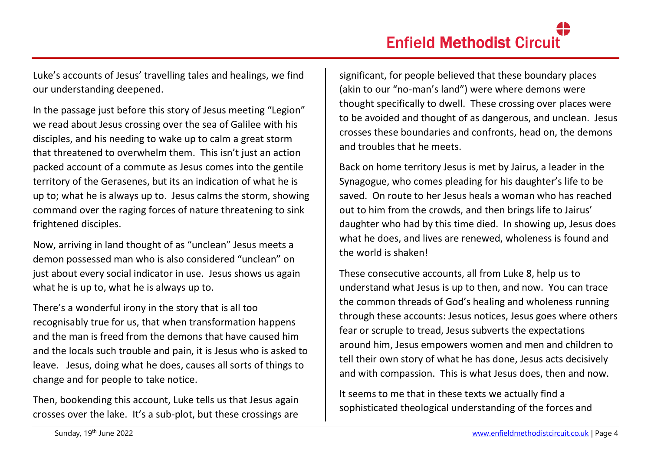Luke's accounts of Jesus' travelling tales and healings, we find our understanding deepened.

In the passage just before this story of Jesus meeting "Legion" we read about Jesus crossing over the sea of Galilee with his disciples, and his needing to wake up to calm a great storm that threatened to overwhelm them. This isn't just an action packed account of a commute as Jesus comes into the gentile territory of the Gerasenes, but its an indication of what he is up to; what he is always up to. Jesus calms the storm, showing command over the raging forces of nature threatening to sink frightened disciples.

Now, arriving in land thought of as "unclean" Jesus meets a demon possessed man who is also considered "unclean" on just about every social indicator in use. Jesus shows us again what he is up to, what he is always up to.

There's a wonderful irony in the story that is all too recognisably true for us, that when transformation happens and the man is freed from the demons that have caused him and the locals such trouble and pain, it is Jesus who is asked to leave. Jesus, doing what he does, causes all sorts of things to change and for people to take notice.

Then, bookending this account, Luke tells us that Jesus again crosses over the lake. It's a sub-plot, but these crossings are

significant, for people believed that these boundary places (akin to our "no-man's land") were where demons were thought specifically to dwell. These crossing over places were to be avoided and thought of as dangerous, and unclean. Jesus crosses these boundaries and confronts, head on, the demons and troubles that he meets.

Back on home territory Jesus is met by Jairus, a leader in the Synagogue, who comes pleading for his daughter's life to be saved. On route to her Jesus heals a woman who has reached out to him from the crowds, and then brings life to Jairus' daughter who had by this time died. In showing up, Jesus does what he does, and lives are renewed, wholeness is found and the world is shaken!

These consecutive accounts, all from Luke 8, help us to understand what Jesus is up to then, and now. You can trace the common threads of God's healing and wholeness running through these accounts: Jesus notices, Jesus goes where others fear or scruple to tread, Jesus subverts the expectations around him, Jesus empowers women and men and children to tell their own story of what he has done, Jesus acts decisively and with compassion. This is what Jesus does, then and now.

It seems to me that in these texts we actually find a sophisticated theological understanding of the forces and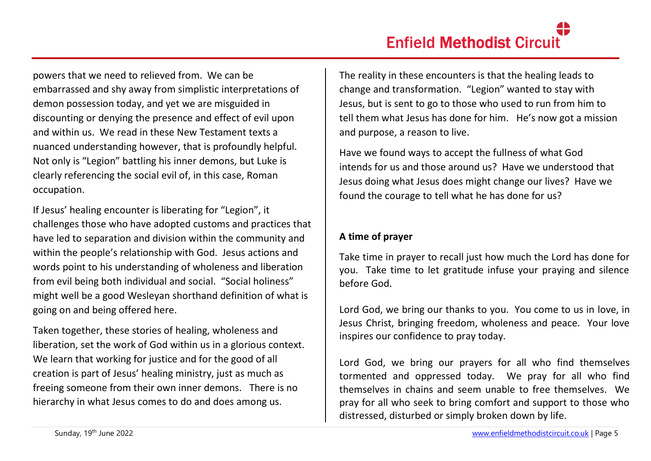powers that we need to relieved from. We can be embarrassed and shy away from simplistic interpretations of demon possession today, and yet we are misguided in discounting or denying the presence and effect of evil upon and within us. We read in these New Testament texts a nuanced understanding however, that is profoundly helpful. Not only is "Legion" battling his inner demons, but Luke is clearly referencing the social evil of, in this case, Roman occupation.

If Jesus' healing encounter is liberating for "Legion", it challenges those who have adopted customs and practices that have led to separation and division within the community and within the people's relationship with God. Jesus actions and words point to his understanding of wholeness and liberation from evil being both individual and social. "Social holiness" might well be a good Wesleyan shorthand definition of what is going on and being offered here.

Taken together, these stories of healing, wholeness and liberation, set the work of God within us in a glorious context. We learn that working for justice and for the good of all creation is part of Jesus' healing ministry, just as much as freeing someone from their own inner demons. There is no hierarchy in what Jesus comes to do and does among us.

The reality in these encounters is that the healing leads to change and transformation. "Legion" wanted to stay with Jesus, but is sent to go to those who used to run from him to tell them what Jesus has done for him. He's now got a mission and purpose, a reason to live.

Have we found ways to accept the fullness of what God intends for us and those around us? Have we understood that Jesus doing what Jesus does might change our lives? Have we found the courage to tell what he has done for us?

# **A time of prayer**

Take time in prayer to recall just how much the Lord has done for you. Take time to let gratitude infuse your praying and silence before God.

Lord God, we bring our thanks to you. You come to us in love, in Jesus Christ, bringing freedom, wholeness and peace. Your love inspires our confidence to pray today.

Lord God, we bring our prayers for all who find themselves tormented and oppressed today. We pray for all who find themselves in chains and seem unable to free themselves. We pray for all who seek to bring comfort and support to those who distressed, disturbed or simply broken down by life.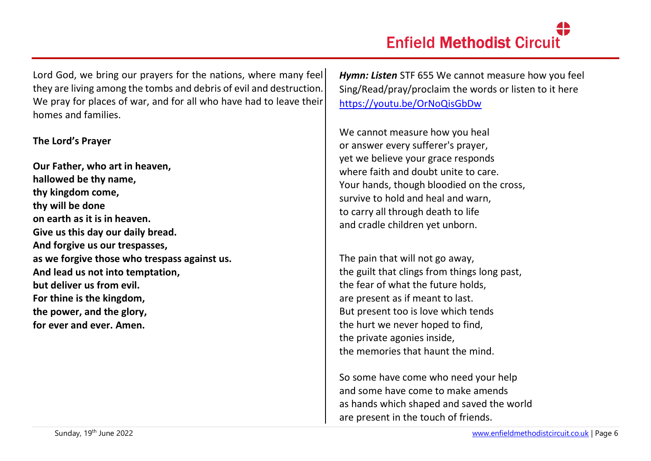Lord God, we bring our prayers for the nations, where many feel they are living among the tombs and debris of evil and destruction. We pray for places of war, and for all who have had to leave their homes and families.

#### **The Lord's Prayer**

**Our Father, who art in heaven, hallowed be thy name, thy kingdom come, thy will be done on earth as it is in heaven. Give us this day our daily bread. And forgive us our trespasses, as we forgive those who trespass against us. And lead us not into temptation, but deliver us from evil. For thine is the kingdom, the power, and the glory, for ever and ever. Amen.**

*Hymn: Listen* STF 655 We cannot measure how you feel Sing/Read/pray/proclaim the words or listen to it here <https://youtu.be/OrNoQisGbDw>

We cannot measure how you heal or answer every sufferer's prayer, yet we believe your grace responds where faith and doubt unite to care. Your hands, though bloodied on the cross, survive to hold and heal and warn, to carry all through death to life and cradle children yet unborn.

The pain that will not go away, the guilt that clings from things long past, the fear of what the future holds, are present as if meant to last. But present too is love which tends the hurt we never hoped to find, the private agonies inside, the memories that haunt the mind.

So some have come who need your help and some have come to make amends as hands which shaped and saved the world are present in the touch of friends.